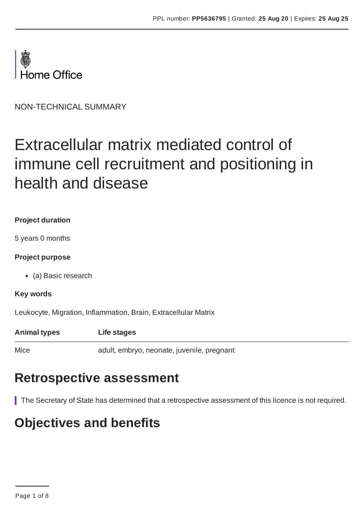

NON-TECHNICAL SUMMARY

# Extracellular matrix mediated control of immune cell recruitment and positioning in health and disease

#### **Project duration**

5 years 0 months

#### **Project purpose**

(a) Basic research

#### **Key words**

Leukocyte, Migration, Inflammation, Brain, Extracellular Matrix

**Animal types Life stages**

Mice adult, embryo, neonate, juvenile, pregnant

### **Retrospective assessment**

The Secretary of State has determined that a retrospective assessment of this licence is not required.

# **Objectives and benefits**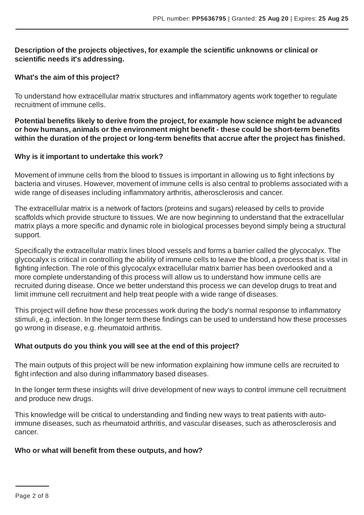#### **Description of the projects objectives, for example the scientific unknowns or clinical or scientific needs it's addressing.**

#### **What's the aim of this project?**

To understand how extracellular matrix structures and inflammatory agents work together to regulate recruitment of immune cells.

**Potential benefits likely to derive from the project, for example how science might be advanced or how humans, animals or the environment might benefit - these could be short-term benefits within the duration of the project or long-term benefits that accrue after the project has finished.**

#### **Why is it important to undertake this work?**

Movement of immune cells from the blood to tissues is important in allowing us to fight infections by bacteria and viruses. However, movement of immune cells is also central to problems associated with a wide range of diseases including inflammatory arthritis, atherosclerosis and cancer.

The extracellular matrix is a network of factors (proteins and sugars) released by cells to provide scaffolds which provide structure to tissues. We are now beginning to understand that the extracellular matrix plays a more specific and dynamic role in biological processes beyond simply being a structural support.

Specifically the extracellular matrix lines blood vessels and forms a barrier called the glycocalyx. The glycocalyx is critical in controlling the ability of immune cells to leave the blood, a process that is vital in fighting infection. The role of this glycocalyx extracellular matrix barrier has been overlooked and a more complete understanding of this process will allow us to understand how immune cells are recruited during disease. Once we better understand this process we can develop drugs to treat and limit immune cell recruitment and help treat people with a wide range of diseases.

This project will define how these processes work during the body's normal response to inflammatory stimuli, e.g. infection. In the longer term these findings can be used to understand how these processes go wrong in disease, e.g. rheumatoid arthritis.

#### **What outputs do you think you will see at the end of this project?**

The main outputs of this project will be new information explaining how immune cells are recruited to fight infection and also during inflammatory based diseases.

In the longer term these insights will drive development of new ways to control immune cell recruitment and produce new drugs.

This knowledge will be critical to understanding and finding new ways to treat patients with autoimmune diseases, such as rheumatoid arthritis, and vascular diseases, such as atherosclerosis and cancer.

#### **Who or what will benefit from these outputs, and how?**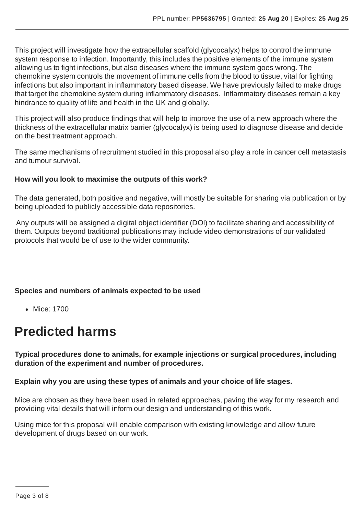This project will investigate how the extracellular scaffold (glycocalyx) helps to control the immune system response to infection. Importantly, this includes the positive elements of the immune system allowing us to fight infections, but also diseases where the immune system goes wrong. The chemokine system controls the movement of immune cells from the blood to tissue, vital for fighting infections but also important in inflammatory based disease. We have previously failed to make drugs that target the chemokine system during inflammatory diseases. Inflammatory diseases remain a key hindrance to quality of life and health in the UK and globally.

This project will also produce findings that will help to improve the use of a new approach where the thickness of the extracellular matrix barrier (glycocalyx) is being used to diagnose disease and decide on the best treatment approach.

The same mechanisms of recruitment studied in this proposal also play a role in cancer cell metastasis and tumour survival.

#### **How will you look to maximise the outputs of this work?**

The data generated, both positive and negative, will mostly be suitable for sharing via publication or by being uploaded to publicly accessible data repositories.

Any outputs will be assigned a digital object identifier (DOI) to facilitate sharing and accessibility of them. Outputs beyond traditional publications may include video demonstrations of our validated protocols that would be of use to the wider community.

#### **Species and numbers of animals expected to be used**

• Mice: 1700

## **Predicted harms**

**Typical procedures done to animals, for example injections or surgical procedures, including duration of the experiment and number of procedures.**

#### **Explain why you are using these types of animals and your choice of life stages.**

Mice are chosen as they have been used in related approaches, paving the way for my research and providing vital details that will inform our design and understanding of this work.

Using mice for this proposal will enable comparison with existing knowledge and allow future development of drugs based on our work.

Page 3 of 8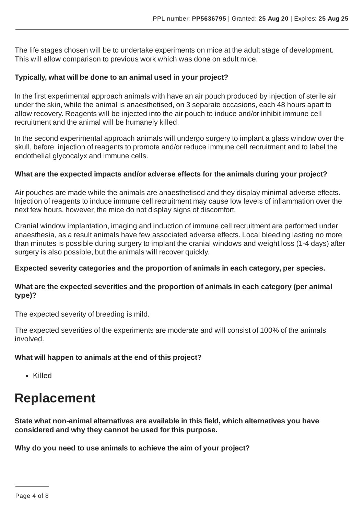The life stages chosen will be to undertake experiments on mice at the adult stage of development. This will allow comparison to previous work which was done on adult mice.

#### **Typically, what will be done to an animal used in your project?**

In the first experimental approach animals with have an air pouch produced by injection of sterile air under the skin, while the animal is anaesthetised, on 3 separate occasions, each 48 hours apart to allow recovery. Reagents will be injected into the air pouch to induce and/or inhibit immune cell recruitment and the animal will be humanely killed.

In the second experimental approach animals will undergo surgery to implant a glass window over the skull, before injection of reagents to promote and/or reduce immune cell recruitment and to label the endothelial glycocalyx and immune cells.

#### **What are the expected impacts and/or adverse effects for the animals during your project?**

Air pouches are made while the animals are anaesthetised and they display minimal adverse effects. Injection of reagents to induce immune cell recruitment may cause low levels of inflammation over the next few hours, however, the mice do not display signs of discomfort.

Cranial window implantation, imaging and induction of immune cell recruitment are performed under anaesthesia, as a result animals have few associated adverse effects. Local bleeding lasting no more than minutes is possible during surgery to implant the cranial windows and weight loss (1-4 days) after surgery is also possible, but the animals will recover quickly.

#### **Expected severity categories and the proportion of animals in each category, per species.**

#### **What are the expected severities and the proportion of animals in each category (per animal type)?**

The expected severity of breeding is mild.

The expected severities of the experiments are moderate and will consist of 100% of the animals involved.

#### **What will happen to animals at the end of this project?**

Killed

## **Replacement**

**State what non-animal alternatives are available in this field, which alternatives you have considered and why they cannot be used for this purpose.**

**Why do you need to use animals to achieve the aim of your project?**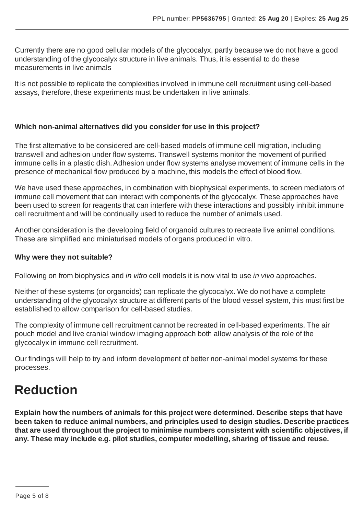Currently there are no good cellular models of the glycocalyx, partly because we do not have a good understanding of the glycocalyx structure in live animals. Thus, it is essential to do these measurements in live animals

It is not possible to replicate the complexities involved in immune cell recruitment using cell-based assays, therefore, these experiments must be undertaken in live animals.

#### **Which non-animal alternatives did you consider for use in this project?**

The first alternative to be considered are cell-based models of immune cell migration, including transwell and adhesion under flow systems. Transwell systems monitor the movement of purified immune cells in a plastic dish. Adhesion under flow systems analyse movement of immune cells in the presence of mechanical flow produced by a machine, this models the effect of blood flow.

We have used these approaches, in combination with biophysical experiments, to screen mediators of immune cell movement that can interact with components of the glycocalyx. These approaches have been used to screen for reagents that can interfere with these interactions and possibly inhibit immune cell recruitment and will be continually used to reduce the number of animals used.

Another consideration is the developing field of organoid cultures to recreate live animal conditions. These are simplified and miniaturised models of organs produced in vitro.

#### **Why were they not suitable?**

Following on from biophysics and *in vitro* cell models it is now vital to use *in vivo* approaches.

Neither of these systems (or organoids) can replicate the glycocalyx. We do not have a complete understanding of the glycocalyx structure at different parts of the blood vessel system, this must first be established to allow comparison for cell-based studies.

The complexity of immune cell recruitment cannot be recreated in cell-based experiments. The air pouch model and live cranial window imaging approach both allow analysis of the role of the glycocalyx in immune cell recruitment.

Our findings will help to try and inform development of better non-animal model systems for these processes.

## **Reduction**

**Explain how the numbers of animals for this project were determined. Describe steps that have been taken to reduce animal numbers, and principles used to design studies. Describe practices that are used throughout the project to minimise numbers consistent with scientific objectives, if any. These may include e.g. pilot studies, computer modelling, sharing of tissue and reuse.**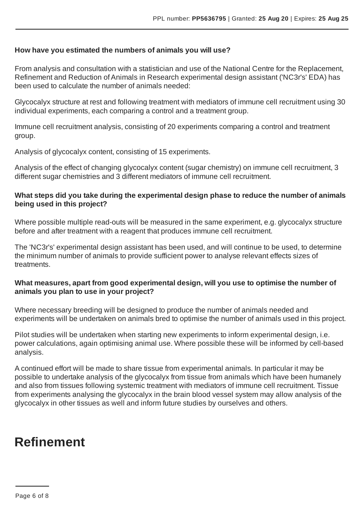#### **How have you estimated the numbers of animals you will use?**

From analysis and consultation with a statistician and use of the National Centre for the Replacement, Refinement and Reduction of Animals in Research experimental design assistant ('NC3r's' EDA) has been used to calculate the number of animals needed:

Glycocalyx structure at rest and following treatment with mediators of immune cell recruitment using 30 individual experiments, each comparing a control and a treatment group.

Immune cell recruitment analysis, consisting of 20 experiments comparing a control and treatment group.

Analysis of glycocalyx content, consisting of 15 experiments.

Analysis of the effect of changing glycocalyx content (sugar chemistry) on immune cell recruitment, 3 different sugar chemistries and 3 different mediators of immune cell recruitment.

#### **What steps did you take during the experimental design phase to reduce the number of animals being used in this project?**

Where possible multiple read-outs will be measured in the same experiment, e.g. glycocalyx structure before and after treatment with a reagent that produces immune cell recruitment.

The 'NC3r's' experimental design assistant has been used, and will continue to be used, to determine the minimum number of animals to provide sufficient power to analyse relevant effects sizes of treatments.

#### **What measures, apart from good experimental design, will you use to optimise the number of animals you plan to use in your project?**

Where necessary breeding will be designed to produce the number of animals needed and experiments will be undertaken on animals bred to optimise the number of animals used in this project.

Pilot studies will be undertaken when starting new experiments to inform experimental design, i.e. power calculations, again optimising animal use. Where possible these will be informed by cell-based analysis.

A continued effort will be made to share tissue from experimental animals. In particular it may be possible to undertake analysis of the glycocalyx from tissue from animals which have been humanely and also from tissues following systemic treatment with mediators of immune cell recruitment. Tissue from experiments analysing the glycocalyx in the brain blood vessel system may allow analysis of the glycocalyx in other tissues as well and inform future studies by ourselves and others.

### **Refinement**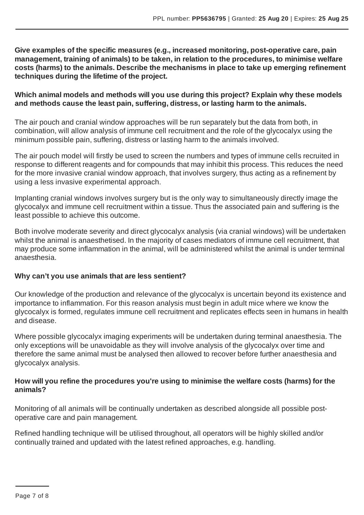**Give examples of the specific measures (e.g., increased monitoring, post-operative care, pain management, training of animals) to be taken, in relation to the procedures, to minimise welfare costs (harms) to the animals. Describe the mechanisms in place to take up emerging refinement techniques during the lifetime of the project.**

#### **Which animal models and methods will you use during this project? Explain why these models and methods cause the least pain, suffering, distress, or lasting harm to the animals.**

The air pouch and cranial window approaches will be run separately but the data from both, in combination, will allow analysis of immune cell recruitment and the role of the glycocalyx using the minimum possible pain, suffering, distress or lasting harm to the animals involved.

The air pouch model will firstly be used to screen the numbers and types of immune cells recruited in response to different reagents and for compounds that may inhibit this process. This reduces the need for the more invasive cranial window approach, that involves surgery, thus acting as a refinement by using a less invasive experimental approach.

Implanting cranial windows involves surgery but is the only way to simultaneously directly image the glycocalyx and immune cell recruitment within a tissue. Thus the associated pain and suffering is the least possible to achieve this outcome.

Both involve moderate severity and direct glycocalyx analysis (via cranial windows) will be undertaken whilst the animal is anaesthetised. In the majority of cases mediators of immune cell recruitment, that may produce some inflammation in the animal, will be administered whilst the animal is under terminal anaesthesia.

#### **Why can't you use animals that are less sentient?**

Our knowledge of the production and relevance of the glycocalyx is uncertain beyond its existence and importance to inflammation. For this reason analysis must begin in adult mice where we know the glycocalyx is formed, regulates immune cell recruitment and replicates effects seen in humans in health and disease.

Where possible glycocalyx imaging experiments will be undertaken during terminal anaesthesia. The only exceptions will be unavoidable as they will involve analysis of the glycocalyx over time and therefore the same animal must be analysed then allowed to recover before further anaesthesia and glycocalyx analysis.

#### **How will you refine the procedures you're using to minimise the welfare costs (harms) for the animals?**

Monitoring of all animals will be continually undertaken as described alongside all possible postoperative care and pain management.

Refined handling technique will be utilised throughout, all operators will be highly skilled and/or continually trained and updated with the latest refined approaches, e.g. handling.

Page 7 of 8